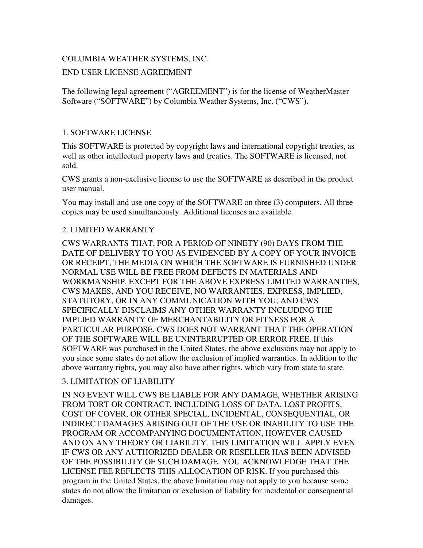### COLUMBIA WEATHER SYSTEMS, INC.

### END USER LICENSE AGREEMENT

The following legal agreement ("AGREEMENT") is for the license of WeatherMaster Software ("SOFTWARE") by Columbia Weather Systems, Inc. ("CWS").

# 1. SOFTWARE LICENSE

This SOFTWARE is protected by copyright laws and international copyright treaties, as well as other intellectual property laws and treaties. The SOFTWARE is licensed, not sold.

CWS grants a non-exclusive license to use the SOFTWARE as described in the product user manual.

You may install and use one copy of the SOFTWARE on three (3) computers. All three copies may be used simultaneously. Additional licenses are available.

# 2. LIMITED WARRANTY

CWS WARRANTS THAT, FOR A PERIOD OF NINETY (90) DAYS FROM THE DATE OF DELIVERY TO YOU AS EVIDENCED BY A COPY OF YOUR INVOICE OR RECEIPT, THE MEDIA ON WHICH THE SOFTWARE IS FURNISHED UNDER NORMAL USE WILL BE FREE FROM DEFECTS IN MATERIALS AND WORKMANSHIP. EXCEPT FOR THE ABOVE EXPRESS LIMITED WARRANTIES, CWS MAKES, AND YOU RECEIVE, NO WARRANTIES, EXPRESS, IMPLIED, STATUTORY, OR IN ANY COMMUNICATION WITH YOU; AND CWS SPECIFICALLY DISCLAIMS ANY OTHER WARRANTY INCLUDING THE IMPLIED WARRANTY OF MERCHANTABILITY OR FITNESS FOR A PARTICULAR PURPOSE. CWS DOES NOT WARRANT THAT THE OPERATION OF THE SOFTWARE WILL BE UNINTERRUPTED OR ERROR FREE. If this SOFTWARE was purchased in the United States, the above exclusions may not apply to you since some states do not allow the exclusion of implied warranties. In addition to the above warranty rights, you may also have other rights, which vary from state to state.

### 3. LIMITATION OF LIABILITY

IN NO EVENT WILL CWS BE LIABLE FOR ANY DAMAGE, WHETHER ARISING FROM TORT OR CONTRACT, INCLUDING LOSS OF DATA, LOST PROFITS, COST OF COVER, OR OTHER SPECIAL, INCIDENTAL, CONSEQUENTIAL, OR INDIRECT DAMAGES ARISING OUT OF THE USE OR INABILITY TO USE THE PROGRAM OR ACCOMPANYING DOCUMENTATION, HOWEVER CAUSED AND ON ANY THEORY OR LIABILITY. THIS LIMITATION WILL APPLY EVEN IF CWS OR ANY AUTHORIZED DEALER OR RESELLER HAS BEEN ADVISED OF THE POSSIBILITY OF SUCH DAMAGE. YOU ACKNOWLEDGE THAT THE LICENSE FEE REFLECTS THIS ALLOCATION OF RISK. If you purchased this program in the United States, the above limitation may not apply to you because some states do not allow the limitation or exclusion of liability for incidental or consequential damages.